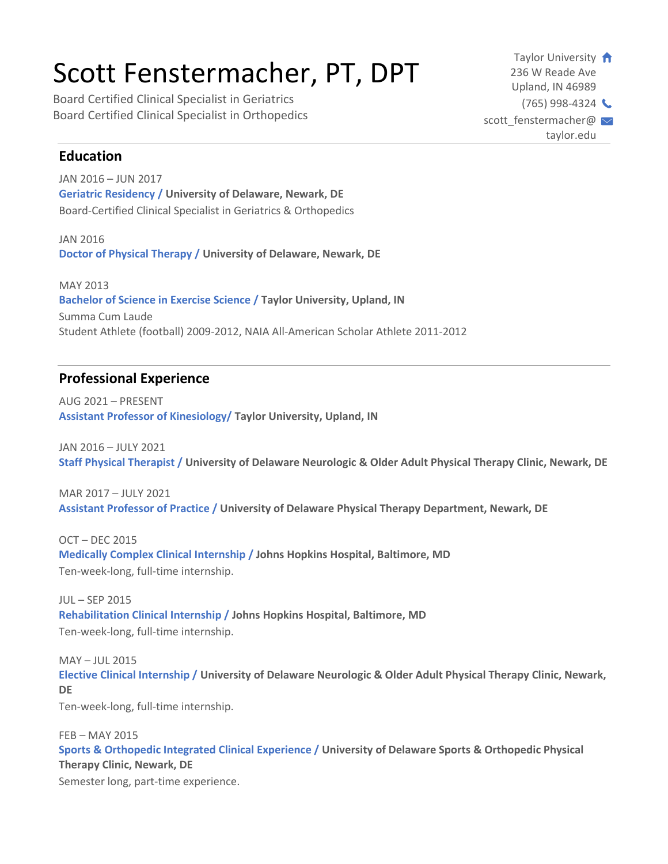# Scott Fenstermacher, PT, DPT

Board Certified Clinical Specialist in Geriatrics Board Certified Clinical Specialist in Orthopedics

Taylor University 236 W Reade Ave Upland, IN 46989  $(765)$  998-4324 scott\_fenstermacher@  $\sim$ taylor.edu

## **Education**

JAN 2016 – JUN 2017 **Geriatric Residency / University of Delaware, Newark, DE** Board-Certified Clinical Specialist in Geriatrics & Orthopedics

JAN 2016 **Doctor of Physical Therapy / University of Delaware, Newark, DE**

MAY 2013 **Bachelor of Science in Exercise Science / Taylor University, Upland, IN** Summa Cum Laude Student Athlete (football) 2009-2012, NAIA All-American Scholar Athlete 2011-2012

## **Professional Experience**

AUG 2021 – PRESENT **Assistant Professor of Kinesiology/ Taylor University, Upland, IN**

JAN 2016 – JULY 2021 **Staff Physical Therapist / University of Delaware Neurologic & Older Adult Physical Therapy Clinic, Newark, DE**

MAR 2017 – JULY 2021 **Assistant Professor of Practice / University of Delaware Physical Therapy Department, Newark, DE**

OCT – DEC 2015 **Medically Complex Clinical Internship / Johns Hopkins Hospital, Baltimore, MD** Ten-week-long, full-time internship.

 $III -$ SEP 2015 **Rehabilitation Clinical Internship / Johns Hopkins Hospital, Baltimore, MD** Ten-week-long, full-time internship.

MAY – JUL 2015 **Elective Clinical Internship / University of Delaware Neurologic & Older Adult Physical Therapy Clinic, Newark, DE**

Ten-week-long, full-time internship.

FEB – MAY 2015 **Sports & Orthopedic Integrated Clinical Experience / University of Delaware Sports & Orthopedic Physical Therapy Clinic, Newark, DE**

Semester long, part-time experience.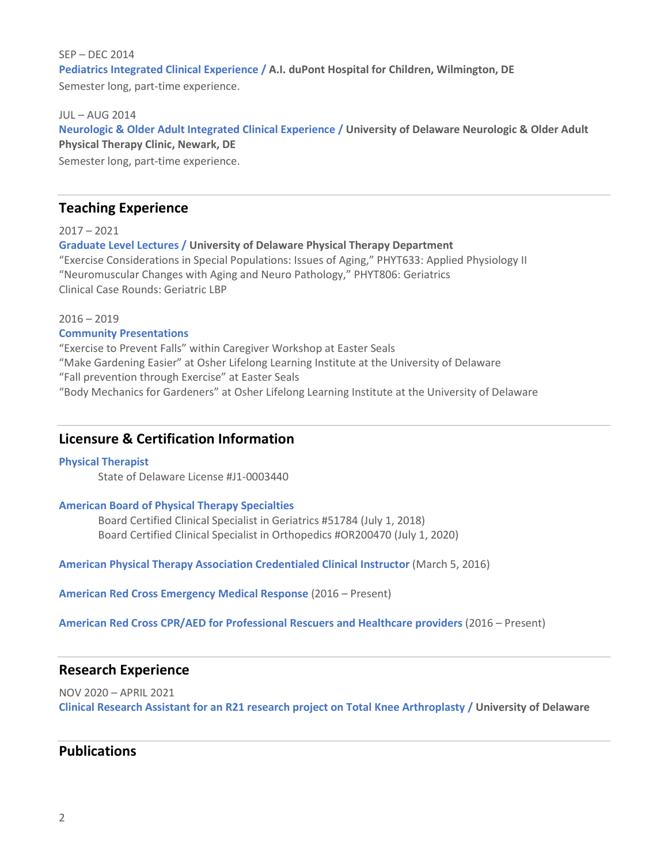#### SEP – DEC 2014 **Pediatrics Integrated Clinical Experience / A.I. duPont Hospital for Children, Wilmington, DE** Semester long, part-time experience.

#### JUL – AUG 2014

**Neurologic & Older Adult Integrated Clinical Experience / University of Delaware Neurologic & Older Adult Physical Therapy Clinic, Newark, DE**

Semester long, part-time experience.

## **Teaching Experience**

#### 2017 – 2021

**Graduate Level Lectures / University of Delaware Physical Therapy Department** "Exercise Considerations in Special Populations: Issues of Aging," PHYT633: Applied Physiology II "Neuromuscular Changes with Aging and Neuro Pathology," PHYT806: Geriatrics Clinical Case Rounds: Geriatric LBP

2016 – 2019

#### **Community Presentations**

"Exercise to Prevent Falls" within Caregiver Workshop at Easter Seals "Make Gardening Easier" at Osher Lifelong Learning Institute at the University of Delaware "Fall prevention through Exercise" at Easter Seals "Body Mechanics for Gardeners" at Osher Lifelong Learning Institute at the University of Delaware

## **Licensure & Certification Information**

#### **Physical Therapist**

State of Delaware License #J1-0003440

#### **American Board of Physical Therapy Specialties**

Board Certified Clinical Specialist in Geriatrics #51784 (July 1, 2018) Board Certified Clinical Specialist in Orthopedics #OR200470 (July 1, 2020)

**American Physical Therapy Association Credentialed Clinical Instructor** (March 5, 2016)

**American Red Cross Emergency Medical Response** (2016 – Present)

**American Red Cross CPR/AED for Professional Rescuers and Healthcare providers** (2016 – Present)

### **Research Experience**

NOV 2020 – APRIL 2021 **Clinical Research Assistant for an R21 research project on Total Knee Arthroplasty / University of Delaware**

## **Publications**